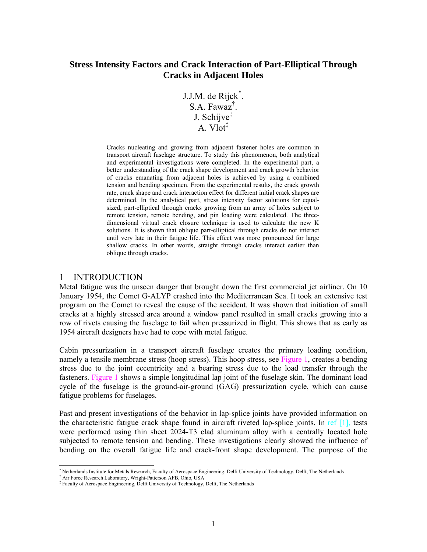# **Stress Intensity Factors and Crack Interaction of Part-Elliptical Through Cracks in Adjacent Holes**

J.J.M. de Rijck<sup>\*</sup>. S.A. Fawaz† . J. Schijve‡ A. Vlot<sup>‡</sup>

Cracks nucleating and growing from adjacent fastener holes are common in transport aircraft fuselage structure. To study this phenomenon, both analytical and experimental investigations were completed. In the experimental part, a better understanding of the crack shape development and crack growth behavior of cracks emanating from adjacent holes is achieved by using a combined tension and bending specimen. From the experimental results, the crack growth rate, crack shape and crack interaction effect for different initial crack shapes are determined. In the analytical part, stress intensity factor solutions for equalsized, part-elliptical through cracks growing from an array of holes subject to remote tension, remote bending, and pin loading were calculated. The threedimensional virtual crack closure technique is used to calculate the new K solutions. It is shown that oblique part-elliptical through cracks do not interact until very late in their fatigue life. This effect was more pronounced for large shallow cracks. In other words, straight through cracks interact earlier than oblique through cracks.

### 1 INTRODUCTION

Metal fatigue was the unseen danger that brought down the first commercial jet airliner. On 10 January 1954, the Comet G-ALYP crashed into the Mediterranean Sea. It took an extensive test program on the Comet to reveal the cause of the accident. It was shown that initiation of small cracks at a highly stressed area around a window panel resulted in small cracks growing into a row of rivets causing the fuselage to fail when pressurized in flight. This shows that as early as 1954 aircraft designers have had to cope with metal fatigue.

Cabin pressurization in a transport aircraft fuselage creates the primary loading condition, namely a tensile membrane stress (hoop stress). This hoop stress, see Figure 1, creates a bending stress due to the joint eccentricity and a bearing stress due to the load transfer through the fasteners. Figure 1 shows a simple longitudinal lap joint of the fuselage skin. The dominant load cycle of the fuselage is the ground-air-ground (GAG) pressurization cycle, which can cause fatigue problems for fuselages.

Past and present investigations of the behavior in lap-splice joints have provided information on the characteristic fatigue crack shape found in aircraft riveted lap-splice joints. In ref [1], tests were performed using thin sheet 2024-T3 clad aluminum alloy with a centrally located hole subjected to remote tension and bending. These investigations clearly showed the influence of bending on the overall fatigue life and crack-front shape development. The purpose of the

l

<sup>\*</sup> Netherlands Institute for Metals Research, Faculty of Aerospace Engineering, Delft University of Technology, Delft, The Netherlands  $\uparrow$  Air Egges Research, Neight Petterson AER, Obje. USA

Air Force Research Laboratory, Wright-Patterson AFB, Ohio, USA

<sup>‡</sup> Faculty of Aerospace Engineering, Delft University of Technology, Delft, The Netherlands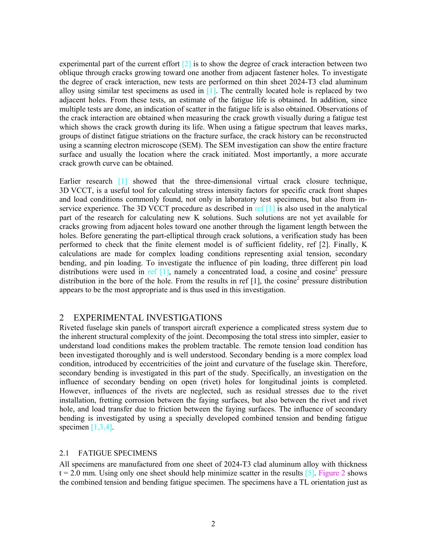experimental part of the current effort  $\lceil 2 \rceil$  is to show the degree of crack interaction between two oblique through cracks growing toward one another from adjacent fastener holes. To investigate the degree of crack interaction, new tests are performed on thin sheet 2024-T3 clad aluminum alloy using similar test specimens as used in  $[1]$ . The centrally located hole is replaced by two adjacent holes. From these tests, an estimate of the fatigue life is obtained. In addition, since multiple tests are done, an indication of scatter in the fatigue life is also obtained. Observations of the crack interaction are obtained when measuring the crack growth visually during a fatigue test which shows the crack growth during its life. When using a fatigue spectrum that leaves marks, groups of distinct fatigue striations on the fracture surface, the crack history can be reconstructed using a scanning electron microscope (SEM). The SEM investigation can show the entire fracture surface and usually the location where the crack initiated. Most importantly, a more accurate crack growth curve can be obtained.

Earlier research [1] showed that the three-dimensional virtual crack closure technique, 3D VCCT, is a useful tool for calculating stress intensity factors for specific crack front shapes and load conditions commonly found, not only in laboratory test specimens, but also from inservice experience. The 3D VCCT procedure as described in ref [1] is also used in the analytical part of the research for calculating new K solutions. Such solutions are not yet available for cracks growing from adjacent holes toward one another through the ligament length between the holes. Before generating the part-elliptical through crack solutions, a verification study has been performed to check that the finite element model is of sufficient fidelity, ref [2]. Finally, K calculations are made for complex loading conditions representing axial tension, secondary bending, and pin loading. To investigate the influence of pin loading, three different pin load distributions were used in ref  $[1]$ , namely a concentrated load, a cosine and cosine<sup>2</sup> pressure distribution in the bore of the hole. From the results in ref  $[1]$ , the cosine<sup>2</sup> pressure distribution appears to be the most appropriate and is thus used in this investigation.

## 2 EXPERIMENTAL INVESTIGATIONS

Riveted fuselage skin panels of transport aircraft experience a complicated stress system due to the inherent structural complexity of the joint. Decomposing the total stress into simpler, easier to understand load conditions makes the problem tractable. The remote tension load condition has been investigated thoroughly and is well understood. Secondary bending is a more complex load condition, introduced by eccentricities of the joint and curvature of the fuselage skin. Therefore, secondary bending is investigated in this part of the study. Specifically, an investigation on the influence of secondary bending on open (rivet) holes for longitudinal joints is completed. However, influences of the rivets are neglected, such as residual stresses due to the rivet installation, fretting corrosion between the faying surfaces, but also between the rivet and rivet hole, and load transfer due to friction between the faying surfaces. The influence of secondary bending is investigated by using a specially developed combined tension and bending fatigue specimen  $[1,3,4]$ .

#### 2.1 FATIGUE SPECIMENS

All specimens are manufactured from one sheet of 2024-T3 clad aluminum alloy with thickness  $t = 2.0$  mm. Using only one sheet should help minimize scatter in the results  $[5]$ . Figure 2 shows the combined tension and bending fatigue specimen. The specimens have a TL orientation just as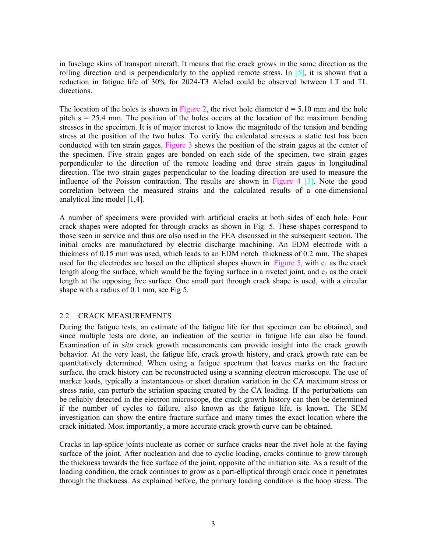in fuselage skins of transport aircraft. It means that the crack grows in the same direction as the rolling direction and is perpendicularly to the applied remote stress. In [5], it is shown that a reduction in fatigue life of 30% for 2024-T3 Alclad could be observed between LT and TL directions.

The location of the holes is shown in Figure 2, the rivet hole diameter  $d = 5.10$  mm and the hole pitch s = 25.4 mm. The position of the holes occurs at the location of the maximum bending stresses in the specimen. It is of major interest to know the magnitude of the tension and bending stress at the position of the two holes. To verify the calculated stresses a static test has been conducted with ten strain gages. Figure 3 shows the position of the strain gages at the center of the specimen. Five strain gages are bonded on each side of the specimen, two strain gages perpendicular to the direction of the remote loading and three strain gages in longitudinal direction. The two strain gages perpendicular to the loading direction are used to measure the influence of the Poisson contraction. The results are shown in Figure 4 [3]. Note the good correlation between the measured strains and the calculated results of a one-dimensional analytical line model [1,4].

A number of specimens were provided with artificial cracks at both sides of each hole. Four crack shapes were adopted for through cracks as shown in Fig. 5. These shapes correspond to those seen in service and thus are also used in the FEA discussed in the subsequent section. The initial cracks are manufactured by electric discharge machining. An EDM electrode with a thickness of 0.15 mm was used, which leads to an EDM notch thickness of 0.2 mm. The shapes used for the electrodes are based on the elliptical shapes shown in Figure 5, with  $c_1$  as the crack length along the surface, which would be the faying surface in a riveted joint, and  $c<sub>2</sub>$  as the crack length at the opposing free surface. One small part through crack shape is used, with a circular shape with a radius of 0.1 mm, see Fig 5.

#### 2.2 CRACK MEASUREMENTS

During the fatigue tests, an estimate of the fatigue life for that specimen can be obtained, and since multiple tests are done, an indication of the scatter in fatigue life can also be found. Examination of *in situ* crack growth measurements can provide insight into the crack growth behavior. At the very least, the fatigue life, crack growth history, and crack growth rate can be quantitatively determined. When using a fatigue spectrum that leaves marks on the fracture surface, the crack history can be reconstructed using a scanning electron microscope. The use of marker loads, typically a instantaneous or short duration variation in the CA maximum stress or stress ratio, can perturb the striation spacing created by the CA loading. If the perturbations can be reliably detected in the electron microscope, the crack growth history can then be determined if the number of cycles to failure, also known as the fatigue life, is known. The SEM investigation can show the entire fracture surface and many times the exact location where the crack initiated. Most importantly, a more accurate crack growth curve can be obtained.

Cracks in lap-splice joints nucleate as corner or surface cracks near the rivet hole at the faying surface of the joint. After nucleation and due to cyclic loading, cracks continue to grow through the thickness towards the free surface of the joint, opposite of the initiation site. As a result of the loading condition, the crack continues to grow as a part-elliptical through crack once it penetrates through the thickness. As explained before, the primary loading condition is the hoop stress. The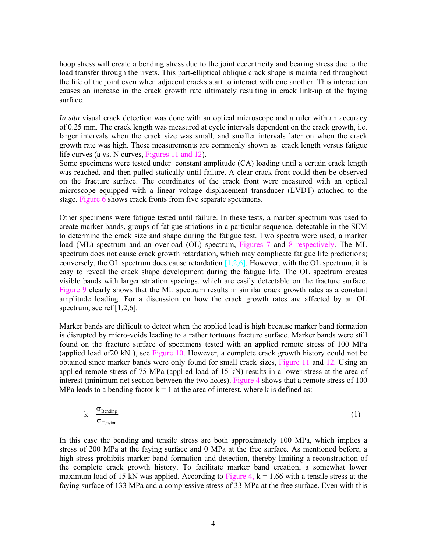hoop stress will create a bending stress due to the joint eccentricity and bearing stress due to the load transfer through the rivets. This part-elliptical oblique crack shape is maintained throughout the life of the joint even when adjacent cracks start to interact with one another. This interaction causes an increase in the crack growth rate ultimately resulting in crack link-up at the faying surface.

*In situ* visual crack detection was done with an optical microscope and a ruler with an accuracy of 0.25 mm. The crack length was measured at cycle intervals dependent on the crack growth, i.e. larger intervals when the crack size was small, and smaller intervals later on when the crack growth rate was high. These measurements are commonly shown as crack length versus fatigue life curves (a vs. N curves, Figures 11 and 12).

Some specimens were tested under constant amplitude (CA) loading until a certain crack length was reached, and then pulled statically until failure. A clear crack front could then be observed on the fracture surface. The coordinates of the crack front were measured with an optical microscope equipped with a linear voltage displacement transducer (LVDT) attached to the stage. Figure 6 shows crack fronts from five separate specimens.

Other specimens were fatigue tested until failure. In these tests, a marker spectrum was used to create marker bands, groups of fatigue striations in a particular sequence, detectable in the SEM to determine the crack size and shape during the fatigue test. Two spectra were used, a marker load (ML) spectrum and an overload (OL) spectrum, Figures 7 and 8 respectively. The ML spectrum does not cause crack growth retardation, which may complicate fatigue life predictions; conversely, the OL spectrum does cause retardation  $[1,2,6]$ . However, with the OL spectrum, it is easy to reveal the crack shape development during the fatigue life. The OL spectrum creates visible bands with larger striation spacings, which are easily detectable on the fracture surface. Figure 9 clearly shows that the ML spectrum results in similar crack growth rates as a constant amplitude loading. For a discussion on how the crack growth rates are affected by an OL spectrum, see ref  $[1,2,6]$ .

Marker bands are difficult to detect when the applied load is high because marker band formation is disrupted by micro-voids leading to a rather tortuous fracture surface. Marker bands were still found on the fracture surface of specimens tested with an applied remote stress of 100 MPa (applied load of20 kN ), see Figure 10. However, a complete crack growth history could not be obtained since marker bands were only found for small crack sizes, Figure 11 and 12. Using an applied remote stress of 75 MPa (applied load of 15 kN) results in a lower stress at the area of interest (minimum net section between the two holes). Figure 4 shows that a remote stress of 100 MPa leads to a bending factor  $k = 1$  at the area of interest, where k is defined as:

$$
k = \frac{\sigma_{\text{Bending}}}{\sigma_{\text{Tension}}} \tag{1}
$$

In this case the bending and tensile stress are both approximately 100 MPa, which implies a stress of 200 MPa at the faying surface and 0 MPa at the free surface. As mentioned before, a high stress prohibits marker band formation and detection, thereby limiting a reconstruction of the complete crack growth history. To facilitate marker band creation, a somewhat lower maximum load of 15 kN was applied. According to Figure 4,  $k = 1.66$  with a tensile stress at the faying surface of 133 MPa and a compressive stress of 33 MPa at the free surface. Even with this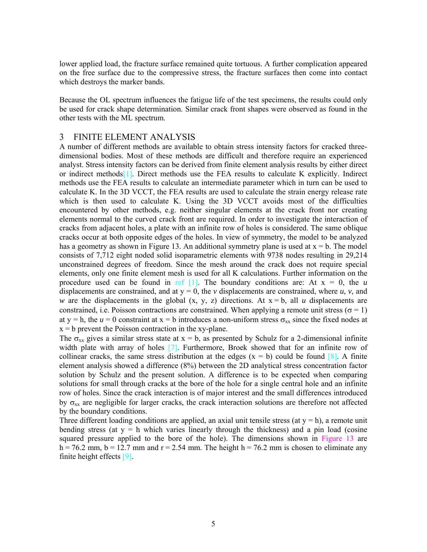lower applied load, the fracture surface remained quite tortuous. A further complication appeared on the free surface due to the compressive stress, the fracture surfaces then come into contact which destroys the marker bands.

Because the OL spectrum influences the fatigue life of the test specimens, the results could only be used for crack shape determination. Similar crack front shapes were observed as found in the other tests with the ML spectrum.

### 3 FINITE ELEMENT ANALYSIS

A number of different methods are available to obtain stress intensity factors for cracked threedimensional bodies. Most of these methods are difficult and therefore require an experienced analyst. Stress intensity factors can be derived from finite element analysis results by either direct or indirect methods[1]. Direct methods use the FEA results to calculate K explicitly. Indirect methods use the FEA results to calculate an intermediate parameter which in turn can be used to calculate K. In the 3D VCCT, the FEA results are used to calculate the strain energy release rate which is then used to calculate K. Using the 3D VCCT avoids most of the difficulties encountered by other methods, e.g. neither singular elements at the crack front nor creating elements normal to the curved crack front are required. In order to investigate the interaction of cracks from adjacent holes, a plate with an infinite row of holes is considered. The same oblique cracks occur at both opposite edges of the holes. In view of symmetry, the model to be analyzed has a geometry as shown in Figure 13. An additional symmetry plane is used at  $x = b$ . The model consists of 7,712 eight noded solid isoparametric elements with 9738 nodes resulting in 29,214 unconstrained degrees of freedom. Since the mesh around the crack does not require special elements, only one finite element mesh is used for all K calculations. Further information on the procedure used can be found in ref  $[1]$ . The boundary conditions are: At  $x = 0$ , the *u* displacements are constrained, and at  $y = 0$ , the *v* displacements are constrained, where *u*, *v*, and *w* are the displacements in the global  $(x, y, z)$  directions. At  $x = b$ , all *u* displacements are constrained, i.e. Poisson contractions are constrained. When applying a remote unit stress ( $\sigma = 1$ ) at y = h, the  $u = 0$  constraint at x = b introduces a non-uniform stress  $\sigma_{xx}$  since the fixed nodes at  $x = b$  prevent the Poisson contraction in the xy-plane.

The  $\sigma_{xx}$  gives a similar stress state at  $x = b$ , as presented by Schulz for a 2-dimensional infinite width plate with array of holes [7]. Furthermore, Broek showed that for an infinite row of collinear cracks, the same stress distribution at the edges  $(x = b)$  could be found  $[8]$ . A finite element analysis showed a difference (8%) between the 2D analytical stress concentration factor solution by Schulz and the present solution. A difference is to be expected when comparing solutions for small through cracks at the bore of the hole for a single central hole and an infinite row of holes. Since the crack interaction is of major interest and the small differences introduced by  $\sigma_{xx}$  are negligible for larger cracks, the crack interaction solutions are therefore not affected by the boundary conditions.

Three different loading conditions are applied, an axial unit tensile stress (at  $y = h$ ), a remote unit bending stress (at  $y = h$  which varies linearly through the thickness) and a pin load (cosine squared pressure applied to the bore of the hole). The dimensions shown in Figure 13 are h = 76.2 mm, b = 12.7 mm and  $r = 2.54$  mm. The height h = 76.2 mm is chosen to eliminate any finite height effects [9].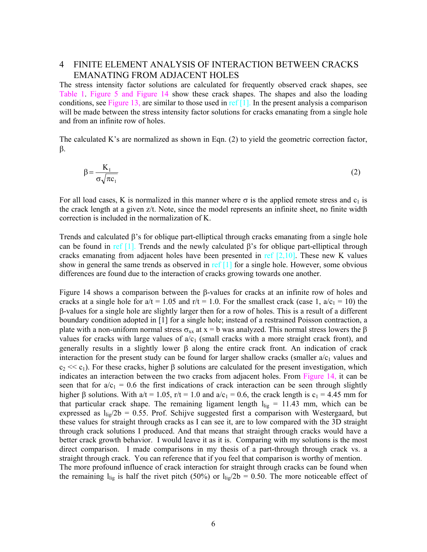# 4 FINITE ELEMENT ANALYSIS OF INTERACTION BETWEEN CRACKS EMANATING FROM ADJACENT HOLES

The stress intensity factor solutions are calculated for frequently observed crack shapes, see Table 1. Figure 5 and Figure 14 show these crack shapes. The shapes and also the loading conditions, see Figure 13, are similar to those used in ref  $[1]$ . In the present analysis a comparison will be made between the stress intensity factor solutions for cracks emanating from a single hole and from an infinite row of holes.

The calculated K's are normalized as shown in Eqn. (2) to yield the geometric correction factor, β.

$$
\beta = \frac{K_1}{\sigma \sqrt{\pi c_1}}\tag{2}
$$

For all load cases, K is normalized in this manner where  $\sigma$  is the applied remote stress and  $c_1$  is the crack length at a given z/t. Note, since the model represents an infinite sheet, no finite width correction is included in the normalization of K.

Trends and calculated  $\beta$ 's for oblique part-elliptical through cracks emanating from a single hole can be found in ref  $[1]$ . Trends and the newly calculated  $\beta$ 's for oblique part-elliptical through cracks emanating from adjacent holes have been presented in ref  $[2,10]$ . These new K values show in general the same trends as observed in ref  $[1]$  for a single hole. However, some obvious differences are found due to the interaction of cracks growing towards one another.

Figure 14 shows a comparison between the β-values for cracks at an infinite row of holes and cracks at a single hole for  $a/t = 1.05$  and  $r/t = 1.0$ . For the smallest crack (case 1,  $a/c_1 = 10$ ) the β-values for a single hole are slightly larger then for a row of holes. This is a result of a different boundary condition adopted in [1] for a single hole; instead of a restrained Poisson contraction, a plate with a non-uniform normal stress  $\sigma_{xx}$  at  $x = b$  was analyzed. This normal stress lowers the  $\beta$ values for cracks with large values of  $a/c_1$  (small cracks with a more straight crack front), and generally results in a slightly lower β along the entire crack front. An indication of crack interaction for the present study can be found for larger shallow cracks (smaller  $a/c<sub>1</sub>$  values and  $c_2 \ll c_1$ ). For these cracks, higher  $\beta$  solutions are calculated for the present investigation, which indicates an interaction between the two cracks from adjacent holes. From Figure 14, it can be seen that for  $a/c_1 = 0.6$  the first indications of crack interaction can be seen through slightly higher β solutions. With  $a/t = 1.05$ , r/t = 1.0 and  $a/c_1 = 0.6$ , the crack length is  $c_1 = 4.45$  mm for that particular crack shape. The remaining ligament length  $l_{lig} = 11.43$  mm, which can be expressed as  $l_{\text{lig}}/2b = 0.55$ . Prof. Schijve suggested first a comparison with Westergaard, but these values for straight through cracks as I can see it, are to low compared with the 3D straight through crack solutions I produced. And that means that straight through cracks would have a better crack growth behavior. I would leave it as it is. Comparing with my solutions is the most direct comparison. I made comparisons in my thesis of a part-through through crack vs. a straight through crack. You can reference that if you feel that comparison is worthy of mention. The more profound influence of crack interaction for straight through cracks can be found when the remaining  $l_{lig}$  is half the rivet pitch (50%) or  $l_{lig}/2b = 0.50$ . The more noticeable effect of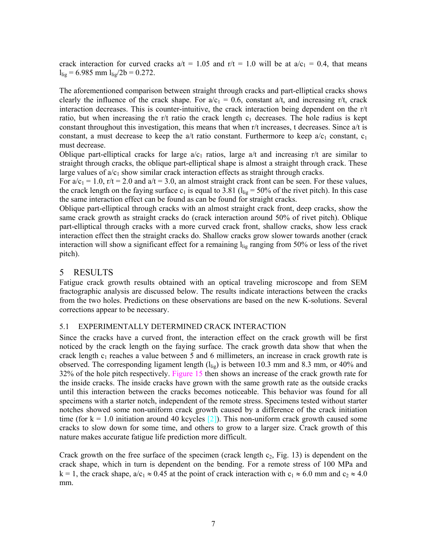crack interaction for curved cracks  $a/t = 1.05$  and  $r/t = 1.0$  will be at  $a/c_1 = 0.4$ , that means  $l_{\text{lig}} = 6.985$  mm  $l_{\text{lig}}/2b = 0.272$ .

The aforementioned comparison between straight through cracks and part-elliptical cracks shows clearly the influence of the crack shape. For  $a/c_1 = 0.6$ , constant  $a/t$ , and increasing r/t, crack interaction decreases. This is counter-intuitive, the crack interaction being dependent on the r/t ratio, but when increasing the r/t ratio the crack length  $c_1$  decreases. The hole radius is kept constant throughout this investigation, this means that when r/t increases, t decreases. Since a/t is constant, a must decrease to keep the  $a/t$  ratio constant. Furthermore to keep  $a/c_1$  constant,  $c_1$ must decrease.

Oblique part-elliptical cracks for large  $a/c_1$  ratios, large a/t and increasing r/t are similar to straight through cracks, the oblique part-elliptical shape is almost a straight through crack. These large values of  $a/c<sub>1</sub>$  show similar crack interaction effects as straight through cracks.

For  $a/c_1 = 1.0$ ,  $r/t = 2.0$  and  $a/t = 3.0$ , an almost straight crack front can be seen. For these values, the crack length on the faying surface  $c_1$  is equal to 3.81 ( $l_{\text{lig}}$  = 50% of the rivet pitch). In this case the same interaction effect can be found as can be found for straight cracks.

Oblique part-elliptical through cracks with an almost straight crack front, deep cracks, show the same crack growth as straight cracks do (crack interaction around 50% of rivet pitch). Oblique part-elliptical through cracks with a more curved crack front, shallow cracks, show less crack interaction effect then the straight cracks do. Shallow cracks grow slower towards another (crack interaction will show a significant effect for a remaining  $l_{lig}$  ranging from 50% or less of the rivet pitch).

## 5 RESULTS

Fatigue crack growth results obtained with an optical traveling microscope and from SEM fractographic analysis are discussed below. The results indicate interactions between the cracks from the two holes. Predictions on these observations are based on the new K-solutions. Several corrections appear to be necessary.

### 5.1 EXPERIMENTALLY DETERMINED CRACK INTERACTION

Since the cracks have a curved front, the interaction effect on the crack growth will be first noticed by the crack length on the faying surface. The crack growth data show that when the crack length  $c_1$  reaches a value between 5 and 6 millimeters, an increase in crack growth rate is observed. The corresponding ligament length  $(l_{\text{lig}})$  is between 10.3 mm and 8.3 mm, or 40% and 32% of the hole pitch respectively. Figure 15 then shows an increase of the crack growth rate for the inside cracks. The inside cracks have grown with the same growth rate as the outside cracks until this interaction between the cracks becomes noticeable. This behavior was found for all specimens with a starter notch, independent of the remote stress. Specimens tested without starter notches showed some non-uniform crack growth caused by a difference of the crack initiation time (for  $k = 1.0$  initiation around 40 kcycles [2]). This non-uniform crack growth caused some cracks to slow down for some time, and others to grow to a larger size. Crack growth of this nature makes accurate fatigue life prediction more difficult.

Crack growth on the free surface of the specimen (crack length  $c_2$ , Fig. 13) is dependent on the crack shape, which in turn is dependent on the bending. For a remote stress of 100 MPa and k = 1, the crack shape,  $a/c_1 \approx 0.45$  at the point of crack interaction with  $c_1 \approx 6.0$  mm and  $c_2 \approx 4.0$ mm.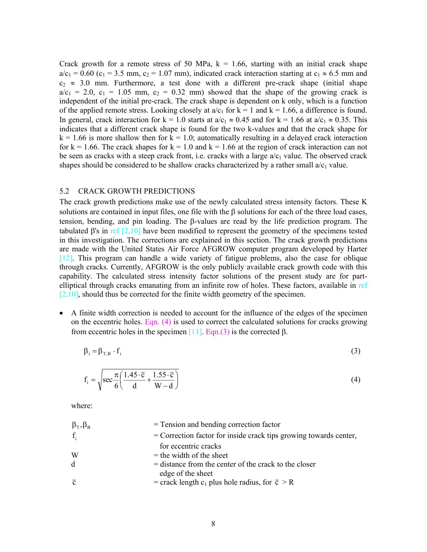Crack growth for a remote stress of 50 MPa,  $k = 1.66$ , starting with an initial crack shape  $a/c_1 = 0.60$  (c<sub>1</sub> = 3.5 mm, c<sub>2</sub> = 1.07 mm), indicated crack interaction starting at c<sub>1</sub>  $\approx$  6.5 mm and  $c_2 \approx 3.0$  mm. Furthermore, a test done with a different pre-crack shape (initial shape  $a/c_1$  = 2.0,  $c_1$  = 1.05 mm,  $c_2$  = 0.32 mm) showed that the shape of the growing crack is independent of the initial pre-crack. The crack shape is dependent on k only, which is a function of the applied remote stress. Looking closely at  $a/c_1$  for  $k = 1$  and  $k = 1.66$ , a difference is found. In general, crack interaction for k = 1.0 starts at  $a/c_1 \approx 0.45$  and for k = 1.66 at  $a/c_1 \approx 0.35$ . This indicates that a different crack shape is found for the two k-values and that the crack shape for  $k = 1.66$  is more shallow then for  $k = 1.0$ ; automatically resulting in a delayed crack interaction for  $k = 1.66$ . The crack shapes for  $k = 1.0$  and  $k = 1.66$  at the region of crack interaction can not be seen as cracks with a steep crack front, i.e. cracks with a large  $a/c<sub>1</sub>$  value. The observed crack shapes should be considered to be shallow cracks characterized by a rather small  $a/c<sub>1</sub>$  value.

#### 5.2 CRACK GROWTH PREDICTIONS

The crack growth predictions make use of the newly calculated stress intensity factors. These K solutions are contained in input files, one file with the β solutions for each of the three load cases, tension, bending, and pin loading. The β-values are read by the life prediction program. The tabulated β's in ref  $[2,10]$  have been modified to represent the geometry of the specimens tested in this investigation. The corrections are explained in this section. The crack growth predictions are made with the United States Air Force AFGROW computer program developed by Harter [12]. This program can handle a wide variety of fatigue problems, also the case for oblique through cracks. Currently, AFGROW is the only publicly available crack growth code with this capability. The calculated stress intensity factor solutions of the present study are for partelliptical through cracks emanating from an infinite row of holes. These factors, available in ref  $[2,10]$ , should thus be corrected for the finite width geometry of the specimen.

• A finite width correction is needed to account for the influence of the edges of the specimen on the eccentric holes. Eqn.  $(4)$  is used to correct the calculated solutions for cracks growing from eccentric holes in the specimen  $[11]$ . Eqn.(3) is the corrected β.

$$
\beta_i = \beta_{T,B} \cdot f_i \tag{3}
$$

$$
f_i = \sqrt{\sec\frac{\pi}{6} \left( \frac{1.45 \cdot \overline{c}}{d} + \frac{1.55 \cdot \overline{c}}{W - d} \right)}
$$
(4)

where:

| $\beta_{\rm T}$ , $\beta_{\rm B}$ | = Tension and bending correction factor                                      |
|-----------------------------------|------------------------------------------------------------------------------|
| $f_i$                             | $=$ Correction factor for inside crack tips growing towards center,          |
|                                   | for eccentric cracks                                                         |
| W                                 | $=$ the width of the sheet                                                   |
| d                                 | $=$ distance from the center of the crack to the closer<br>edge of the sheet |
| $\overline{c}$                    | = crack length $c_1$ plus hole radius, for $\bar{c} > R$                     |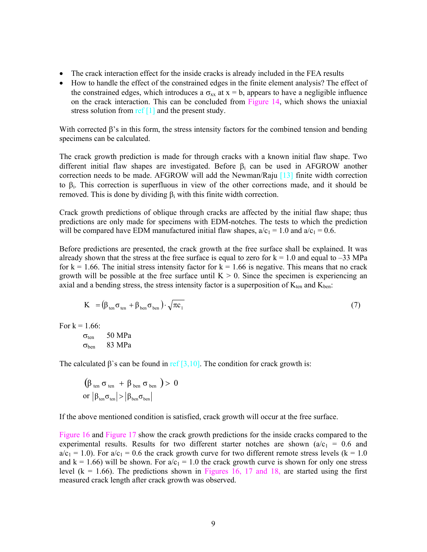- The crack interaction effect for the inside cracks is already included in the FEA results
- How to handle the effect of the constrained edges in the finite element analysis? The effect of the constrained edges, which introduces a  $\sigma_{xx}$  at x = b, appears to have a negligible influence on the crack interaction. This can be concluded from Figure 14, which shows the uniaxial stress solution from  $ref[1]$  and the present study.

With corrected  $\beta$ 's in this form, the stress intensity factors for the combined tension and bending specimens can be calculated.

The crack growth prediction is made for through cracks with a known initial flaw shape. Two different initial flaw shapes are investigated. Before  $\beta_i$  can be used in AFGROW another correction needs to be made. AFGROW will add the Newman/Raju [13] finite width correction to β<sub>i</sub>. This correction is superfluous in view of the other corrections made, and it should be removed. This is done by dividing  $β<sub>i</sub>$  with this finite width correction.

Crack growth predictions of oblique through cracks are affected by the initial flaw shape; thus predictions are only made for specimens with EDM-notches. The tests to which the prediction will be compared have EDM manufactured initial flaw shapes,  $a/c_1 = 1.0$  and  $a/c_1 = 0.6$ .

Before predictions are presented, the crack growth at the free surface shall be explained. It was already shown that the stress at the free surface is equal to zero for  $k = 1.0$  and equal to –33 MPa for  $k = 1.66$ . The initial stress intensity factor for  $k = 1.66$  is negative. This means that no crack growth will be possible at the free surface until  $K > 0$ . Since the specimen is experiencing an axial and a bending stress, the stress intensity factor is a superposition of  $K_{ten}$  and  $K_{ben}$ :

$$
K = (\beta_{\text{ten}} \sigma_{\text{ten}} + \beta_{\text{ben}} \sigma_{\text{ben}}) \cdot \sqrt{\pi c_1}
$$
\n(7)

For  $k = 1.66$ :

$$
\begin{array}{cc}\n\sigma_{ten} & 50 MPa \\
\sigma_{ben} & 83 MPa\n\end{array}
$$

The calculated  $\beta$ 's can be found in ref [3,10]. The condition for crack growth is:

$$
\begin{array}{l} \left(\beta_{\rm ten}\,\sigma_{\rm ten}\,+\,\beta_{\rm ben}\,\sigma_{\rm ben}\,\right) >\,0\\ \text{or}\,\left|\beta_{\rm ten}\sigma_{\rm ten}\right| > \left|\beta_{\rm ben}\sigma_{\rm ben}\right| \end{array}
$$

If the above mentioned condition is satisfied, crack growth will occur at the free surface.

Figure 16 and Figure 17 show the crack growth predictions for the inside cracks compared to the experimental results. Results for two different starter notches are shown ( $a/c_1 = 0.6$  and  $a/c_1 = 1.0$ ). For  $a/c_1 = 0.6$  the crack growth curve for two different remote stress levels (k = 1.0) and  $k = 1.66$ ) will be shown. For  $a/c_1 = 1.0$  the crack growth curve is shown for only one stress level ( $k = 1.66$ ). The predictions shown in Figures 16, 17 and 18, are started using the first measured crack length after crack growth was observed.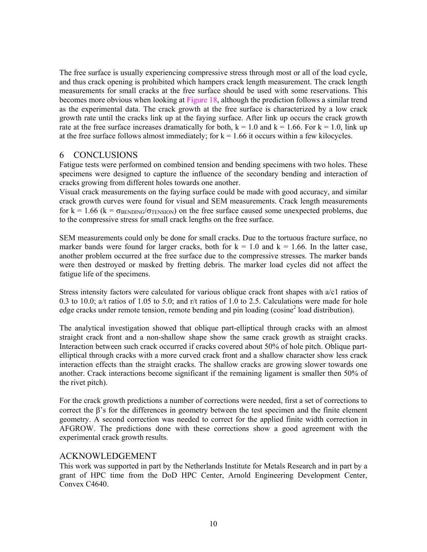The free surface is usually experiencing compressive stress through most or all of the load cycle, and thus crack opening is prohibited which hampers crack length measurement. The crack length measurements for small cracks at the free surface should be used with some reservations. This becomes more obvious when looking at Figure 18, although the prediction follows a similar trend as the experimental data. The crack growth at the free surface is characterized by a low crack growth rate until the cracks link up at the faying surface. After link up occurs the crack growth rate at the free surface increases dramatically for both,  $k = 1.0$  and  $k = 1.66$ . For  $k = 1.0$ , link up at the free surface follows almost immediately; for  $k = 1.66$  it occurs within a few kilocycles.

## 6 CONCLUSIONS

Fatigue tests were performed on combined tension and bending specimens with two holes. These specimens were designed to capture the influence of the secondary bending and interaction of cracks growing from different holes towards one another.

Visual crack measurements on the faying surface could be made with good accuracy, and similar crack growth curves were found for visual and SEM measurements. Crack length measurements for  $k = 1.66$  ( $k = \sigma_{\text{BENDING}}/\sigma_{\text{TENSION}}$ ) on the free surface caused some unexpected problems, due to the compressive stress for small crack lengths on the free surface.

SEM measurements could only be done for small cracks. Due to the tortuous fracture surface, no marker bands were found for larger cracks, both for  $k = 1.0$  and  $k = 1.66$ . In the latter case, another problem occurred at the free surface due to the compressive stresses. The marker bands were then destroyed or masked by fretting debris. The marker load cycles did not affect the fatigue life of the specimens.

Stress intensity factors were calculated for various oblique crack front shapes with a/c1 ratios of 0.3 to 10.0; a/t ratios of 1.05 to 5.0; and r/t ratios of 1.0 to 2.5. Calculations were made for hole edge cracks under remote tension, remote bending and pin loading (cosine<sup>2</sup> load distribution).

The analytical investigation showed that oblique part-elliptical through cracks with an almost straight crack front and a non-shallow shape show the same crack growth as straight cracks. Interaction between such crack occurred if cracks covered about 50% of hole pitch. Oblique partelliptical through cracks with a more curved crack front and a shallow character show less crack interaction effects than the straight cracks. The shallow cracks are growing slower towards one another. Crack interactions become significant if the remaining ligament is smaller then 50% of the rivet pitch).

For the crack growth predictions a number of corrections were needed, first a set of corrections to correct the β's for the differences in geometry between the test specimen and the finite element geometry. A second correction was needed to correct for the applied finite width correction in AFGROW. The predictions done with these corrections show a good agreement with the experimental crack growth results.

### ACKNOWLEDGEMENT

This work was supported in part by the Netherlands Institute for Metals Research and in part by a grant of HPC time from the DoD HPC Center, Arnold Engineering Development Center, Convex C4640.